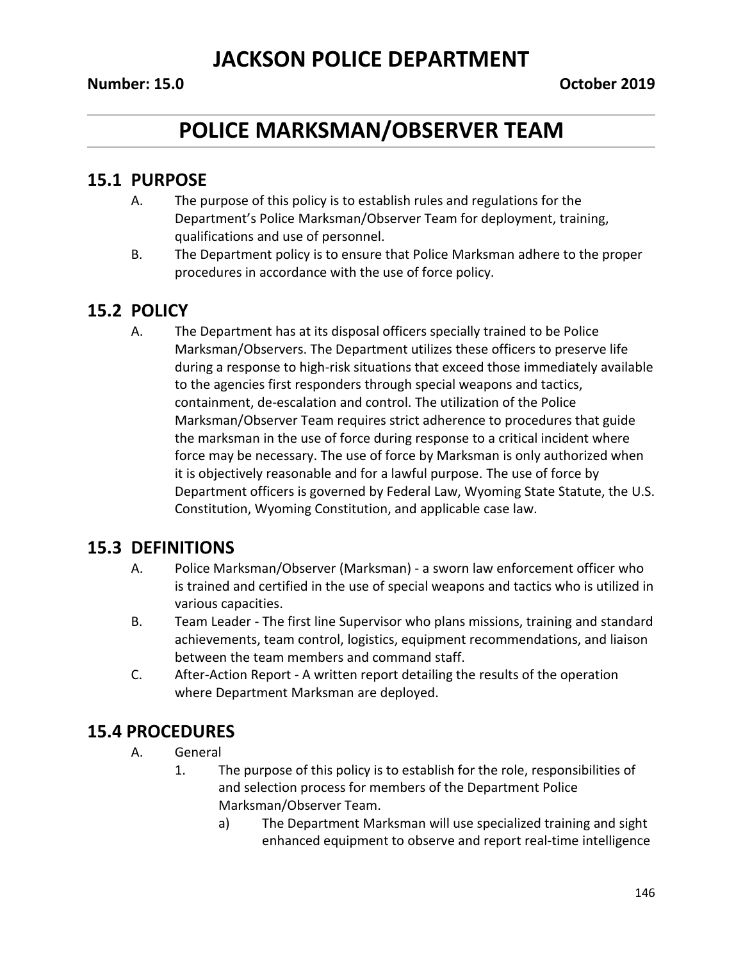## **POLICE MARKSMAN/OBSERVER TEAM**

### **15.1 PURPOSE**

- A. The purpose of this policy is to establish rules and regulations for the Department's Police Marksman/Observer Team for deployment, training, qualifications and use of personnel.
- B. The Department policy is to ensure that Police Marksman adhere to the proper procedures in accordance with the use of force policy.

#### **15.2 POLICY**

A. The Department has at its disposal officers specially trained to be Police Marksman/Observers. The Department utilizes these officers to preserve life during a response to high-risk situations that exceed those immediately available to the agencies first responders through special weapons and tactics, containment, de-escalation and control. The utilization of the Police Marksman/Observer Team requires strict adherence to procedures that guide the marksman in the use of force during response to a critical incident where force may be necessary. The use of force by Marksman is only authorized when it is objectively reasonable and for a lawful purpose. The use of force by Department officers is governed by Federal Law, Wyoming State Statute, the U.S. Constitution, Wyoming Constitution, and applicable case law.

### **15.3 DEFINITIONS**

- A. Police Marksman/Observer (Marksman) a sworn law enforcement officer who is trained and certified in the use of special weapons and tactics who is utilized in various capacities.
- B. Team Leader The first line Supervisor who plans missions, training and standard achievements, team control, logistics, equipment recommendations, and liaison between the team members and command staff.
- C. After-Action Report A written report detailing the results of the operation where Department Marksman are deployed.

### **15.4 PROCEDURES**

- A. General
	- 1. The purpose of this policy is to establish for the role, responsibilities of and selection process for members of the Department Police Marksman/Observer Team.
		- a) The Department Marksman will use specialized training and sight enhanced equipment to observe and report real-time intelligence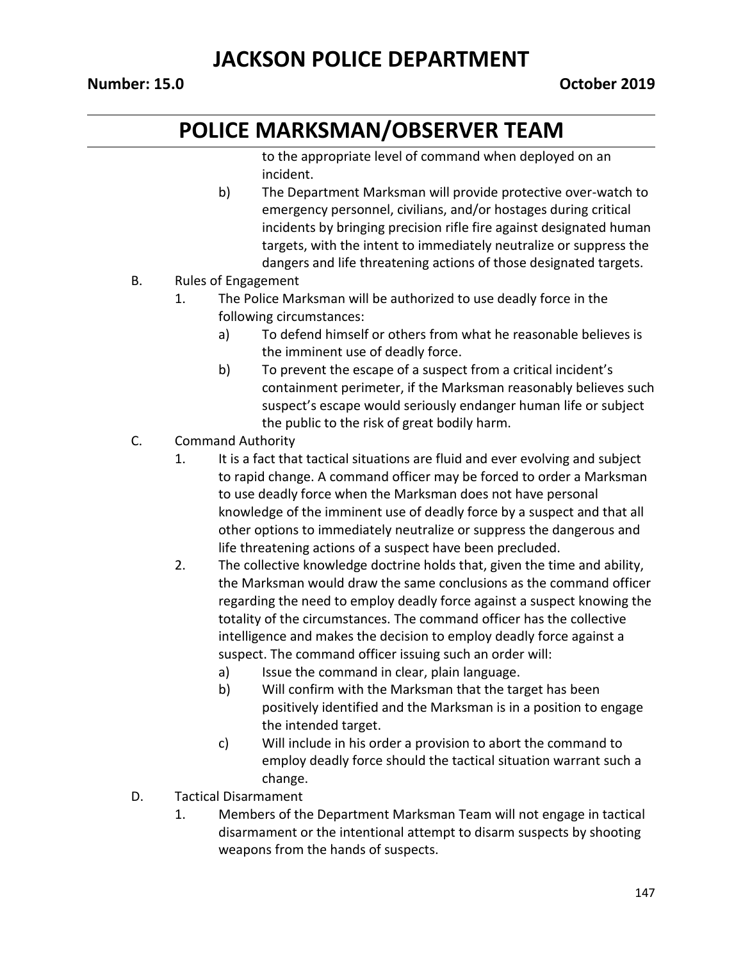## **POLICE MARKSMAN/OBSERVER TEAM**

to the appropriate level of command when deployed on an incident.

- b) The Department Marksman will provide protective over-watch to emergency personnel, civilians, and/or hostages during critical incidents by bringing precision rifle fire against designated human targets, with the intent to immediately neutralize or suppress the dangers and life threatening actions of those designated targets.
- B. Rules of Engagement
	- 1. The Police Marksman will be authorized to use deadly force in the following circumstances:
		- a) To defend himself or others from what he reasonable believes is the imminent use of deadly force.
		- b) To prevent the escape of a suspect from a critical incident's containment perimeter, if the Marksman reasonably believes such suspect's escape would seriously endanger human life or subject the public to the risk of great bodily harm.
- C. Command Authority
	- 1. It is a fact that tactical situations are fluid and ever evolving and subject to rapid change. A command officer may be forced to order a Marksman to use deadly force when the Marksman does not have personal knowledge of the imminent use of deadly force by a suspect and that all other options to immediately neutralize or suppress the dangerous and life threatening actions of a suspect have been precluded.
	- 2. The collective knowledge doctrine holds that, given the time and ability, the Marksman would draw the same conclusions as the command officer regarding the need to employ deadly force against a suspect knowing the totality of the circumstances. The command officer has the collective intelligence and makes the decision to employ deadly force against a suspect. The command officer issuing such an order will:
		- a) Issue the command in clear, plain language.
		- b) Will confirm with the Marksman that the target has been positively identified and the Marksman is in a position to engage the intended target.
		- c) Will include in his order a provision to abort the command to employ deadly force should the tactical situation warrant such a change.
- D. Tactical Disarmament
	- 1. Members of the Department Marksman Team will not engage in tactical disarmament or the intentional attempt to disarm suspects by shooting weapons from the hands of suspects.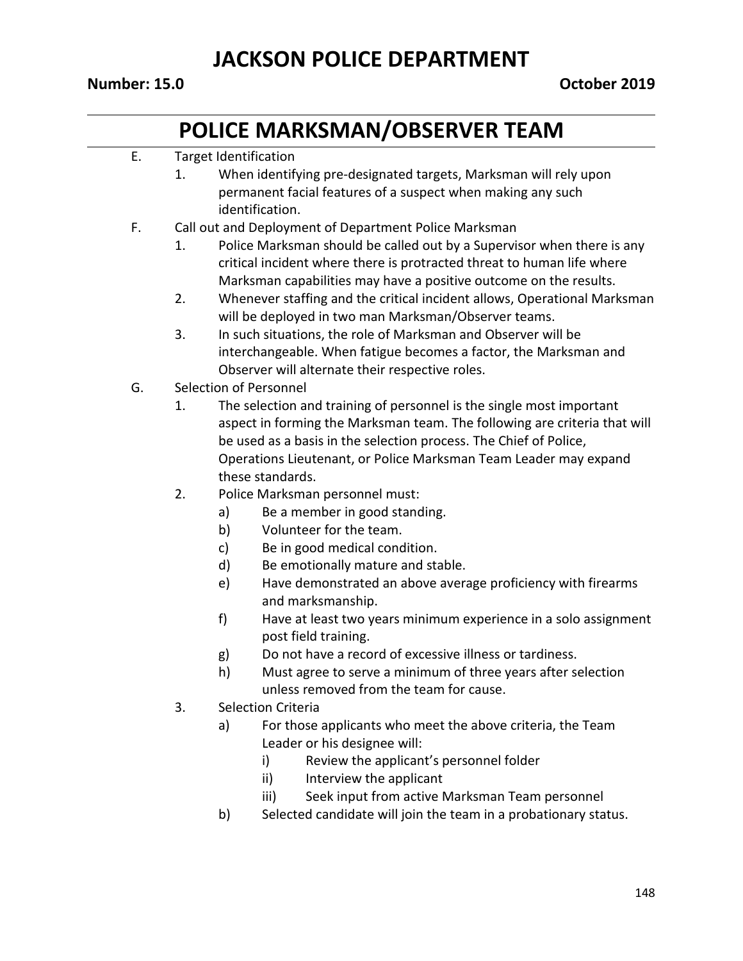## **POLICE MARKSMAN/OBSERVER TEAM**

#### E. Target Identification

- 1. When identifying pre-designated targets, Marksman will rely upon permanent facial features of a suspect when making any such identification.
- F. Call out and Deployment of Department Police Marksman
	- 1. Police Marksman should be called out by a Supervisor when there is any critical incident where there is protracted threat to human life where Marksman capabilities may have a positive outcome on the results.
	- 2. Whenever staffing and the critical incident allows, Operational Marksman will be deployed in two man Marksman/Observer teams.
	- 3. In such situations, the role of Marksman and Observer will be interchangeable. When fatigue becomes a factor, the Marksman and Observer will alternate their respective roles.
- G. Selection of Personnel
	- 1. The selection and training of personnel is the single most important aspect in forming the Marksman team. The following are criteria that will be used as a basis in the selection process. The Chief of Police, Operations Lieutenant, or Police Marksman Team Leader may expand these standards.
	- 2. Police Marksman personnel must:
		- a) Be a member in good standing.
		- b) Volunteer for the team.
		- c) Be in good medical condition.
		- d) Be emotionally mature and stable.
		- e) Have demonstrated an above average proficiency with firearms and marksmanship.
		- f) Have at least two years minimum experience in a solo assignment post field training.
		- g) Do not have a record of excessive illness or tardiness.
		- h) Must agree to serve a minimum of three years after selection unless removed from the team for cause.
	- 3. Selection Criteria
		- a) For those applicants who meet the above criteria, the Team Leader or his designee will:
			- i) Review the applicant's personnel folder
			- ii) Interview the applicant
			- iii) Seek input from active Marksman Team personnel
		- b) Selected candidate will join the team in a probationary status.